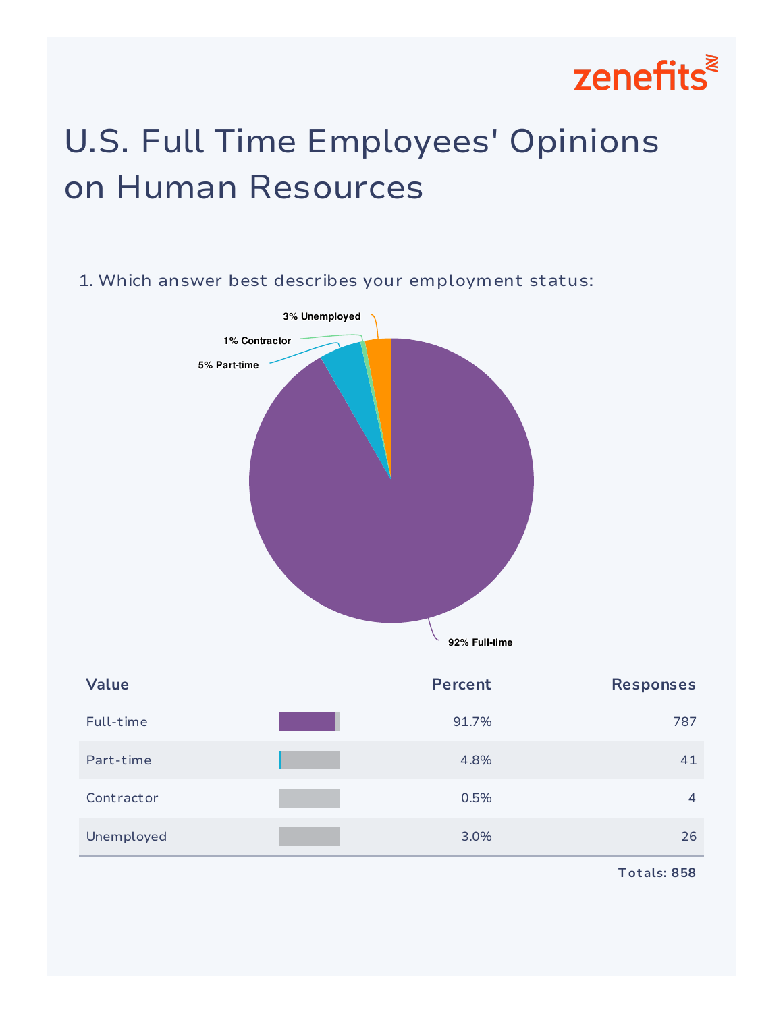

## U.S. Full Time Employees' Opinions on Human Resources

# 1. Which answer best describes your employment status: **92% Full-time 5% Part-time 1% Contractor 3% Unemployed**

| <b>Value</b> | <b>Percent</b> | <b>Responses</b> |
|--------------|----------------|------------------|
| Full-time    | 91.7%          | 787              |
| Part-time    | 4.8%           | 41               |
| Contractor   | 0.5%           | 4                |
| Unemployed   | 3.0%           | 26               |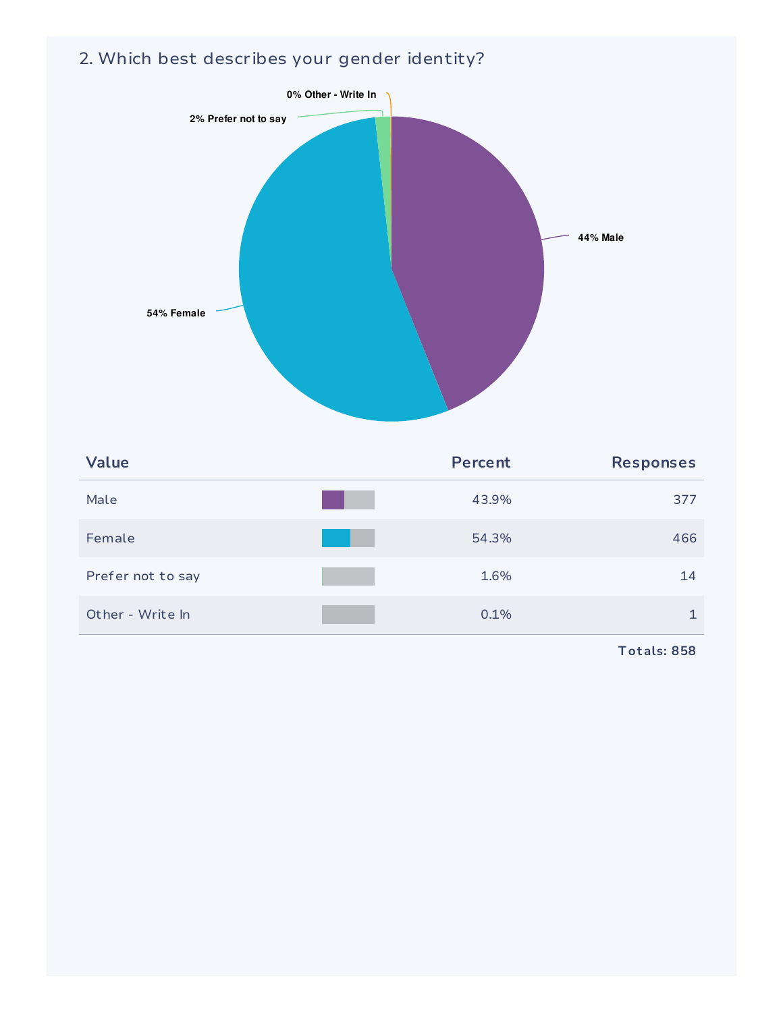#### 2. Which best describes your gender identity?



| <b>Value</b>      | <b>Percent</b> | <b>Responses</b> |
|-------------------|----------------|------------------|
| Male              | 43.9%          | 377              |
| Female            | 54.3%          | 466              |
| Prefer not to say | 1.6%           | 14               |
| Other - Write In  | 0.1%           |                  |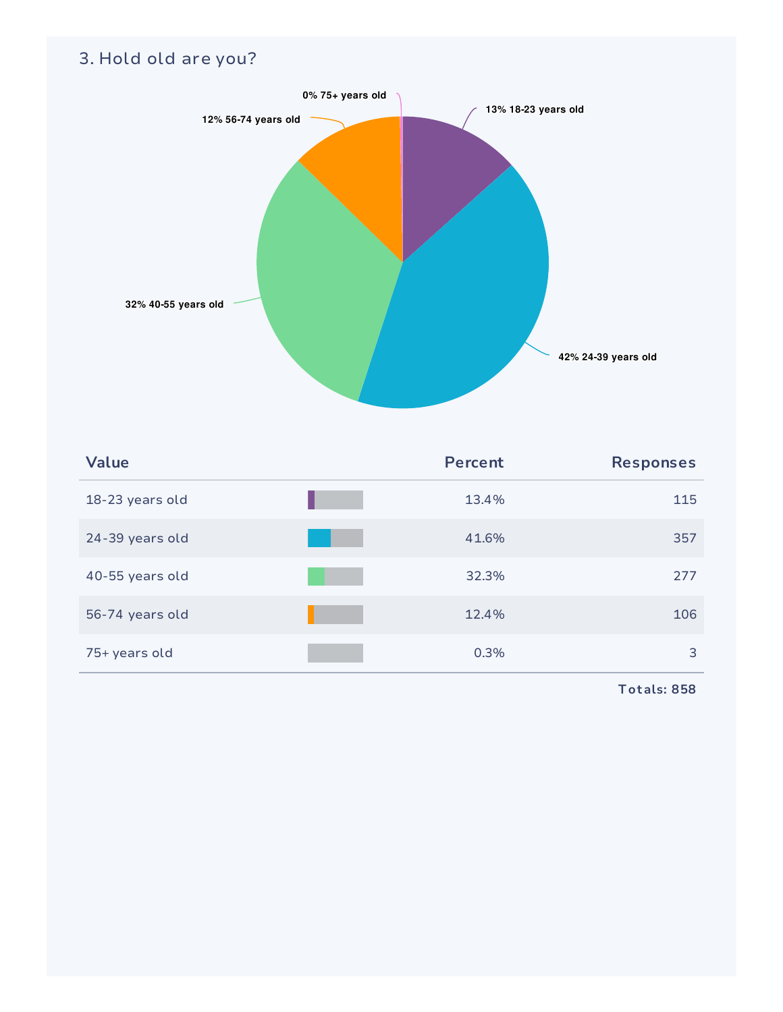#### 3. Hold old are you?



| Value           | <b>Percent</b> | <b>Responses</b> |
|-----------------|----------------|------------------|
| 18-23 years old | 13.4%          | 115              |
| 24-39 years old | 41.6%          | 357              |
| 40-55 years old | 32.3%          | 277              |
| 56-74 years old | 12.4%          | 106              |
| 75+ years old   | 0.3%           | 3                |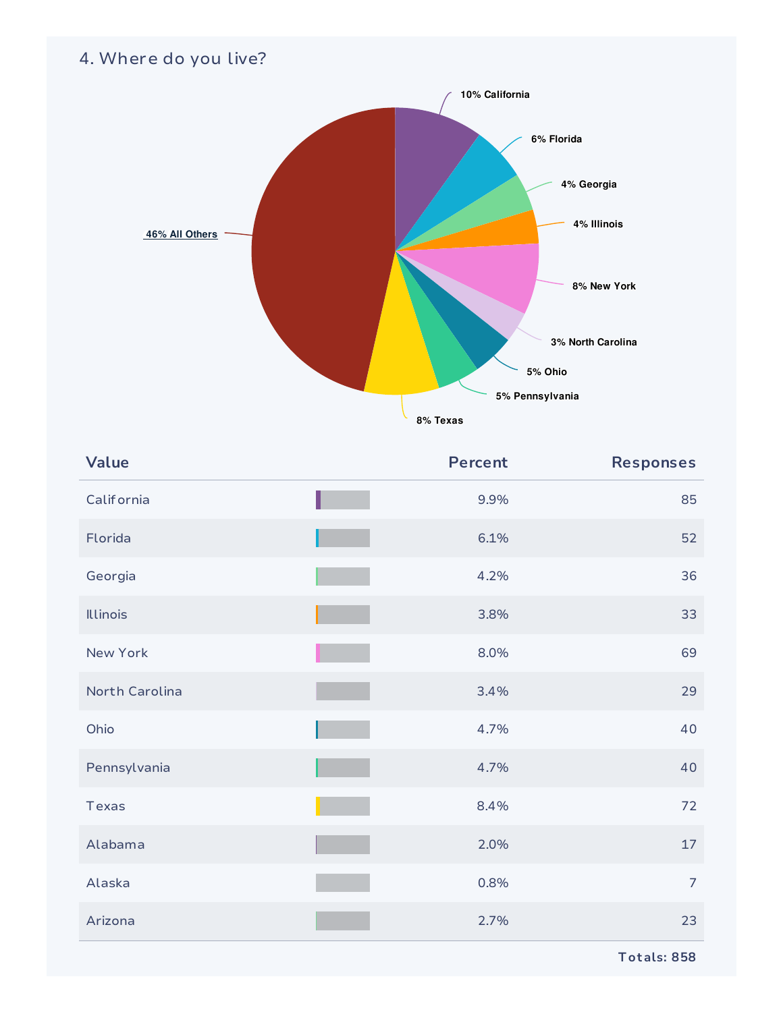#### 4. Where do you live?



| Value           | <b>Percent</b> | <b>Responses</b> |
|-----------------|----------------|------------------|
| Calif ornia     | 9.9%           | 85               |
| Florida         | 6.1%           | 52               |
| Georgia         | 4.2%           | 36               |
| <b>Illinois</b> | 3.8%           | 33               |
| New York        | 8.0%           | 69               |
| North Carolina  | 3.4%           | 29               |
| Ohio            | 4.7%           | 40               |
| Pennsylvania    | 4.7%           | 40               |
| Texas           | 8.4%           | 72               |
| Alabama         | 2.0%           | 17               |
| Alaska          | 0.8%           | $\overline{7}$   |
| Arizona         | 2.7%           | 23               |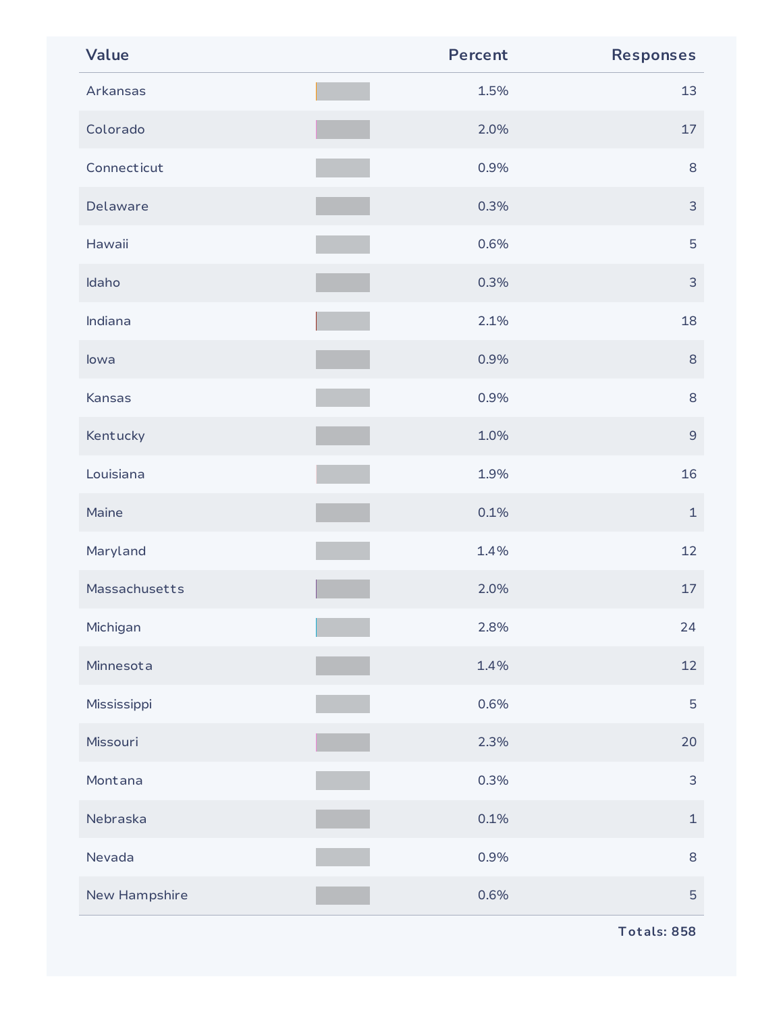| Value         | <b>Percent</b> | <b>Responses</b> |
|---------------|----------------|------------------|
| Arkansas      | 1.5%           | 13               |
| Colorado      | 2.0%           | 17               |
| Connecticut   | 0.9%           | 8                |
| Delaware      | 0.3%           | $\mathsf{3}$     |
| Hawaii        | 0.6%           | 5                |
| Idaho         | 0.3%           | $\mathsf{3}$     |
| Indiana       | 2.1%           | 18               |
| lowa          | 0.9%           | $\,8\,$          |
| Kansas        | 0.9%           | 8                |
| Kentucky      | 1.0%           | $\mathsf 9$      |
| Louisiana     | 1.9%           | 16               |
| Maine         | 0.1%           | $\mathbf{1}$     |
| Maryland      | 1.4%           | 12               |
| Massachusetts | 2.0%           | 17               |
| Michigan      | 2.8%           | 24               |
| Minnesota     | 1.4%           | 12               |
| Mississippi   | 0.6%           | 5                |
| Missouri      | 2.3%           | 20               |
| Montana       | 0.3%           | $\mathsf{3}$     |
| Nebraska      | 0.1%           | $\mathbf 1$      |
| Nevada        | 0.9%           | $8\,$            |
| New Hampshire | 0.6%           | 5                |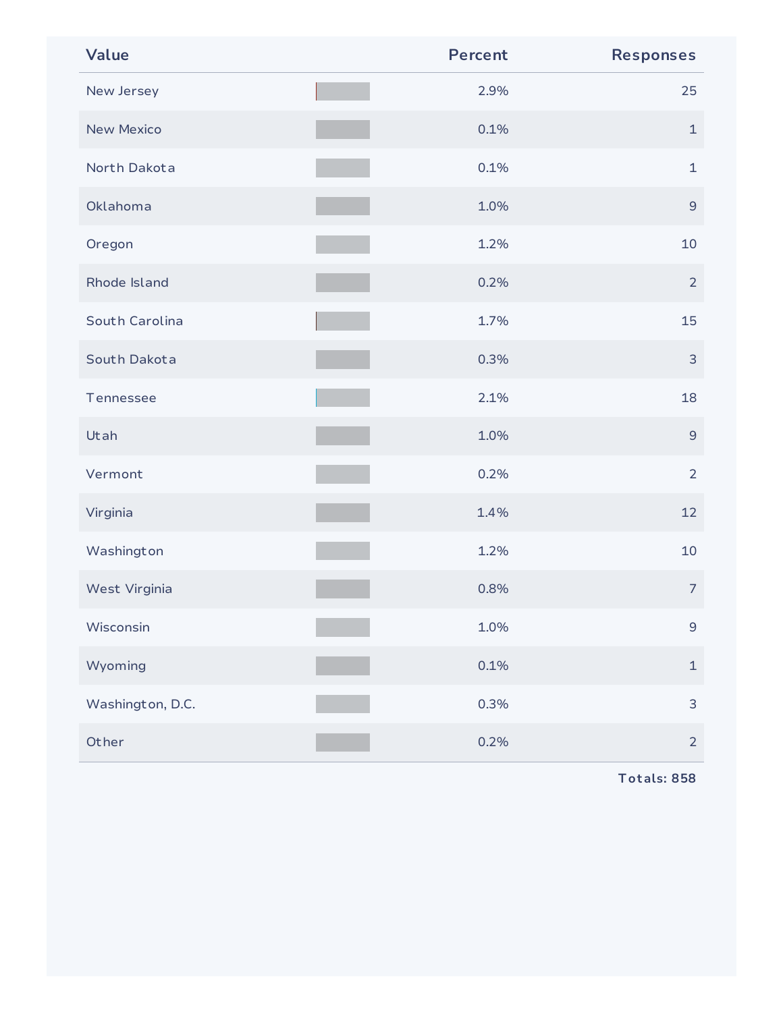| Value             | <b>Percent</b> | <b>Responses</b> |
|-------------------|----------------|------------------|
| New Jersey        | 2.9%           | 25               |
| <b>New Mexico</b> | 0.1%           | $\mathbf 1$      |
| North Dakota      | 0.1%           | $\mathbf{1}$     |
| Oklahoma          | 1.0%           | $\mathsf 9$      |
| Oregon            | 1.2%           | 10               |
| Rhode Island      | 0.2%           | $\overline{2}$   |
| South Carolina    | 1.7%           | 15               |
| South Dakota      | 0.3%           | $\mathsf{3}$     |
| Tennessee         | 2.1%           | 18               |
| Utah              | 1.0%           | $\mathsf 9$      |
| Vermont           | 0.2%           | $\overline{2}$   |
| Virginia          | 1.4%           | 12               |
| Washington        | 1.2%           | 10               |
| West Virginia     | 0.8%           | $\overline{7}$   |
| Wisconsin         | 1.0%           | $\mathsf 9$      |
| Wyoming           | 0.1%           | $\mathbf 1$      |
| Washington, D.C.  | 0.3%           | 3                |
| Other             | 0.2%           | $\overline{2}$   |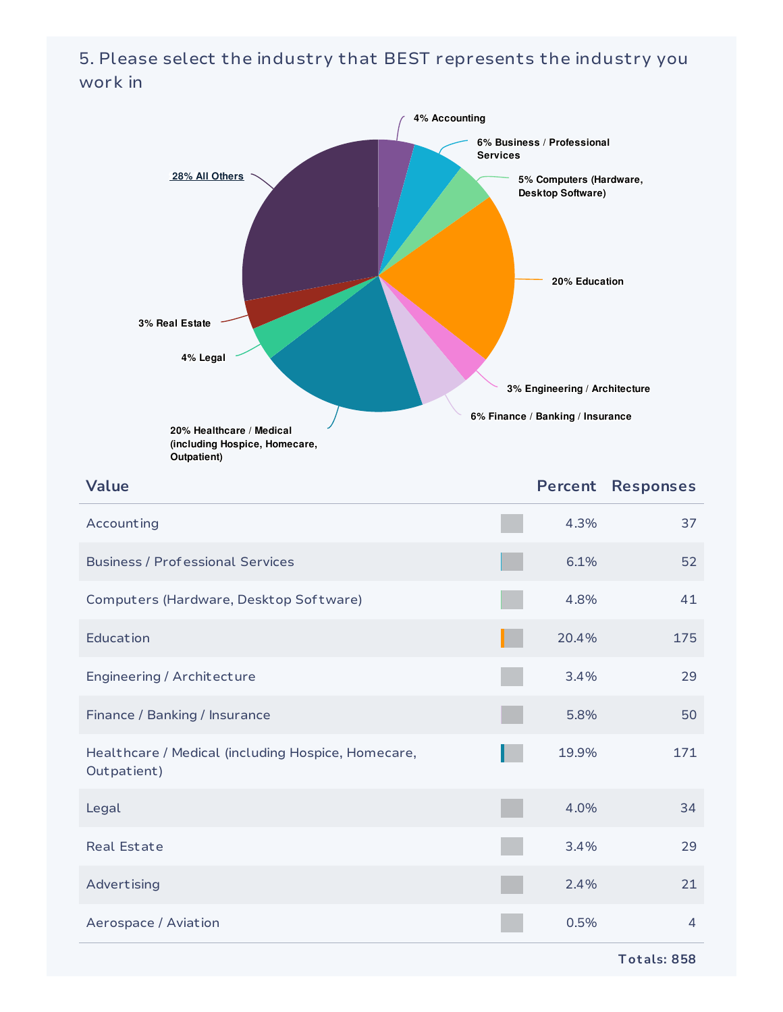#### 5. Please select the industry that BEST represents the industry you work in

| 4% Accounting<br>28% All Others<br>3% Real Estate<br>4% Legal<br>20% Healthcare / Medical<br>(including Hospice, Homecare,<br>Outpatient) | <b>Services</b> | 6% Business / Professional<br>5% Computers (Hardware,<br>Desktop Software)<br>20% Education<br>3% Engineering / Architecture<br>6% Finance / Banking / Insurance |                  |
|-------------------------------------------------------------------------------------------------------------------------------------------|-----------------|------------------------------------------------------------------------------------------------------------------------------------------------------------------|------------------|
| Value                                                                                                                                     |                 | <b>Percent</b>                                                                                                                                                   | <b>Responses</b> |
| Accounting                                                                                                                                |                 | 4.3%                                                                                                                                                             | 37               |
| <b>Business / Professional Services</b>                                                                                                   |                 | 6.1%                                                                                                                                                             | 52               |
| Computers (Hardware, Desktop Software)                                                                                                    |                 | 4.8%                                                                                                                                                             | 41               |
| Education                                                                                                                                 |                 | 20.4%                                                                                                                                                            | 175              |
| Engineering / Architecture                                                                                                                |                 | 3.4%                                                                                                                                                             | 29               |
| Finance / Banking / Insurance                                                                                                             |                 | 5.8%                                                                                                                                                             | 50               |
| Healthcare / Medical (including Hospice, Homecare,<br>Outpatient)                                                                         |                 | 19.9%                                                                                                                                                            | 171              |
| Legal                                                                                                                                     |                 | 4.0%                                                                                                                                                             | 34               |
| <b>Real Estate</b>                                                                                                                        |                 | 3.4%                                                                                                                                                             | 29               |
| Advertising                                                                                                                               |                 | 2.4%                                                                                                                                                             | 21               |
| Aerospace / Aviation                                                                                                                      |                 | 0.5%                                                                                                                                                             | 4                |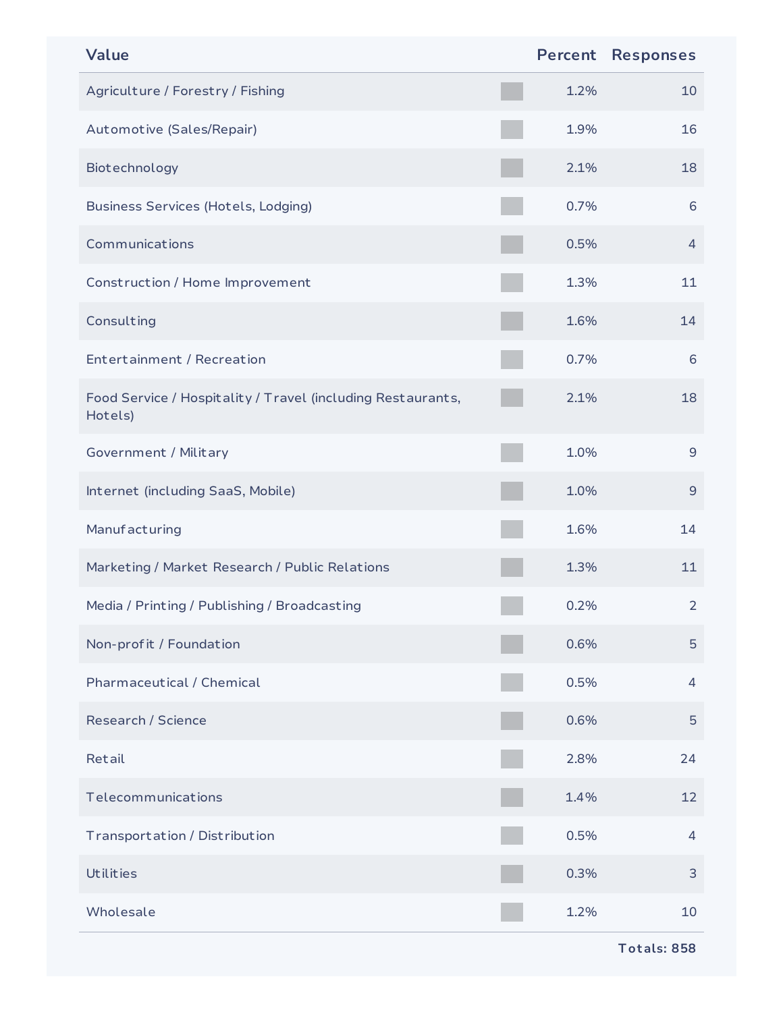| <b>Value</b>                                                           |      | <b>Percent Responses</b> |
|------------------------------------------------------------------------|------|--------------------------|
| Agriculture / Forestry / Fishing                                       | 1.2% | 10                       |
| Automotive (Sales/Repair)                                              | 1.9% | 16                       |
| Biotechnology                                                          | 2.1% | 18                       |
| <b>Business Services (Hotels, Lodging)</b>                             | 0.7% | 6                        |
| Communications                                                         | 0.5% | $\overline{4}$           |
| Construction / Home Improvement                                        | 1.3% | 11                       |
| Consulting                                                             | 1.6% | 14                       |
| Entertainment / Recreation                                             | 0.7% | 6                        |
| Food Service / Hospitality / Travel (including Restaurants,<br>Hotels) | 2.1% | 18                       |
| Government / Military                                                  | 1.0% | $9\,$                    |
| Internet (including SaaS, Mobile)                                      | 1.0% | $\mathsf 9$              |
| Manufacturing                                                          | 1.6% | 14                       |
| Marketing / Market Research / Public Relations                         | 1.3% | 11                       |
| Media / Printing / Publishing / Broadcasting                           | 0.2% | $\overline{2}$           |
| Non-profit / Foundation                                                | 0.6% | 5                        |
| Pharmaceutical / Chemical                                              | 0.5% | 4                        |
| Research / Science                                                     | 0.6% | 5                        |
| Retail                                                                 | 2.8% | 24                       |
| Telecommunications                                                     | 1.4% | 12                       |
| Transportation / Distribution                                          | 0.5% | 4                        |
| <b>Utilities</b>                                                       | 0.3% | 3                        |
| Wholesale                                                              | 1.2% | 10                       |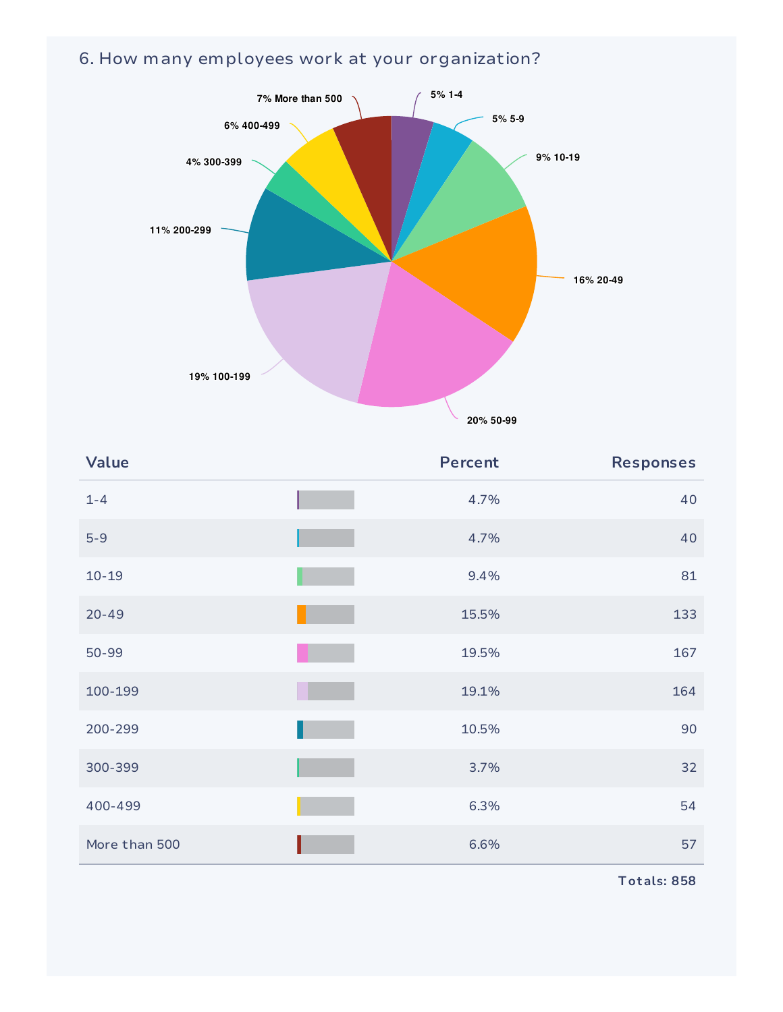#### 6. How many employees work at your organization?



| Value         | <b>Percent</b> | <b>Responses</b> |
|---------------|----------------|------------------|
| $1 - 4$       | 4.7%           | 40               |
| $5-9$         | 4.7%           | 40               |
| $10 - 19$     | 9.4%           | 81               |
| $20 - 49$     | 15.5%          | 133              |
| 50-99         | 19.5%          | 167              |
| 100-199       | 19.1%          | 164              |
| 200-299       | 10.5%          | 90               |
| 300-399       | 3.7%           | 32               |
| 400-499       | 6.3%           | 54               |
| More than 500 | 6.6%           | 57               |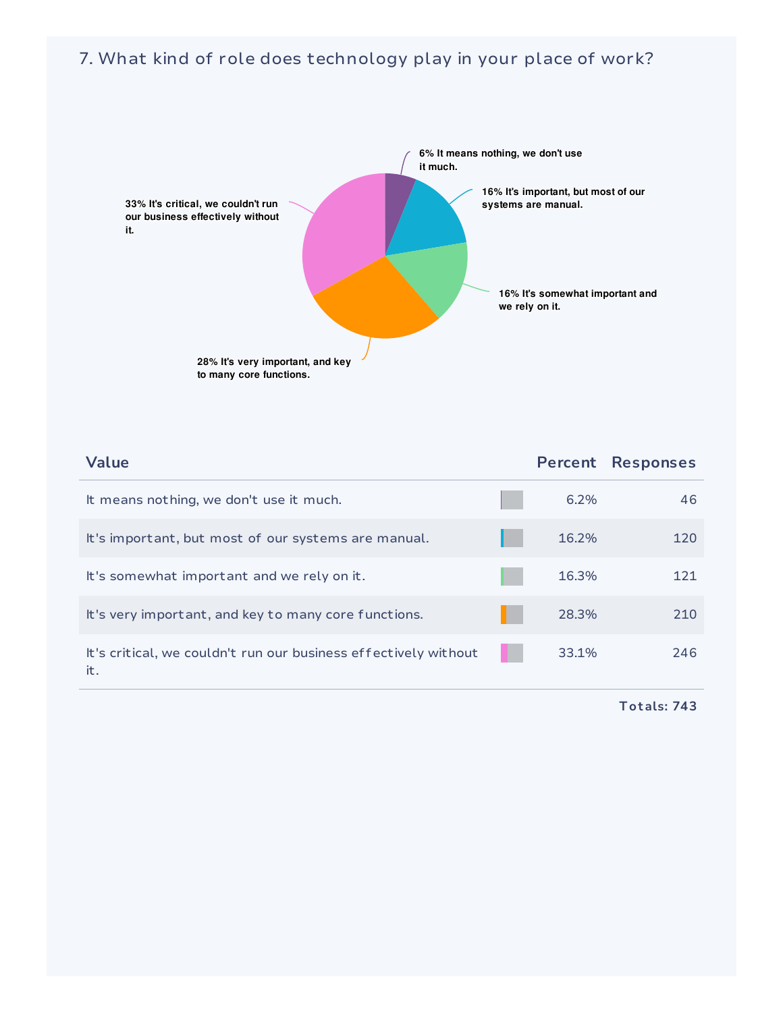#### 7. What kind of role does technology play in your place of work?



| Value                                                                  | Percent | <b>Responses</b> |
|------------------------------------------------------------------------|---------|------------------|
| It means nothing, we don't use it much.                                | 6.2%    | 46               |
| It's important, but most of our systems are manual.                    | 16.2%   | 120              |
| It's somewhat important and we rely on it.                             | 16.3%   | 121              |
| It's very important, and key to many core functions.                   | 28.3%   | 210              |
| It's critical, we couldn't run our business effectively without<br>it. | 33.1%   | 246              |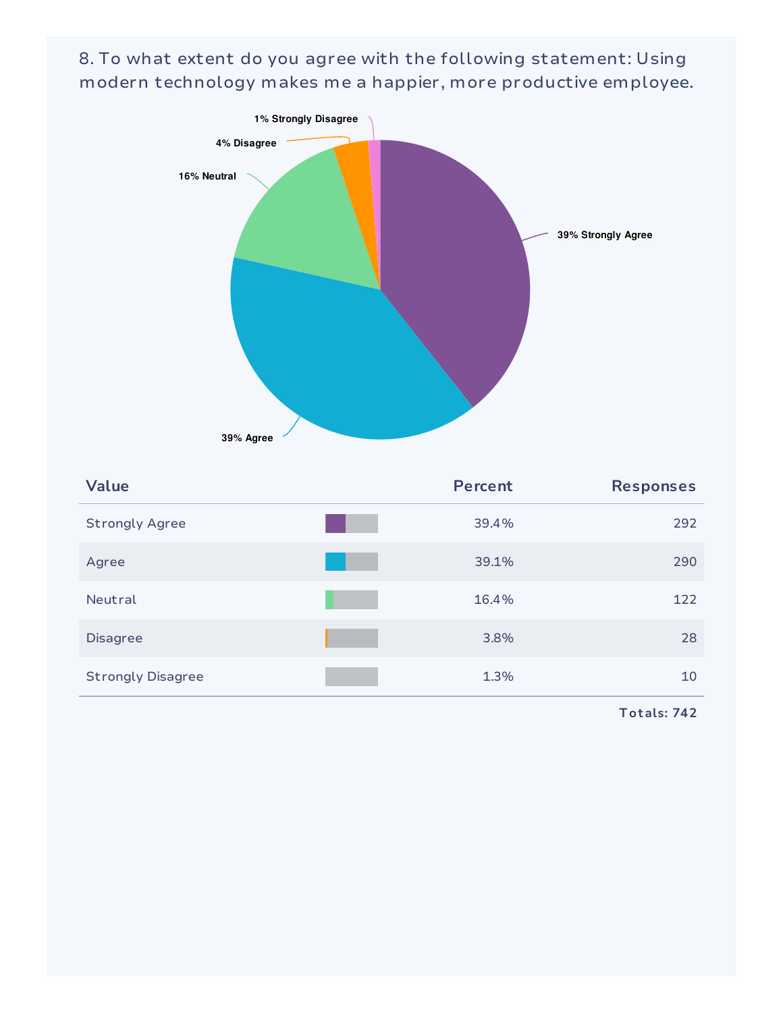8. To what extent do you agree with the following statement: Using modern technology makes me a happier, more productive employee.



| <b>Value</b>             | <b>Percent</b> | <b>Responses</b> |
|--------------------------|----------------|------------------|
| <b>Strongly Agree</b>    | 39.4%          | 292              |
| Agree                    | 39.1%          | 290              |
| Neutral                  | 16.4%          | 122              |
| <b>Disagree</b>          | 3.8%           | 28               |
| <b>Strongly Disagree</b> | 1.3%           | 10               |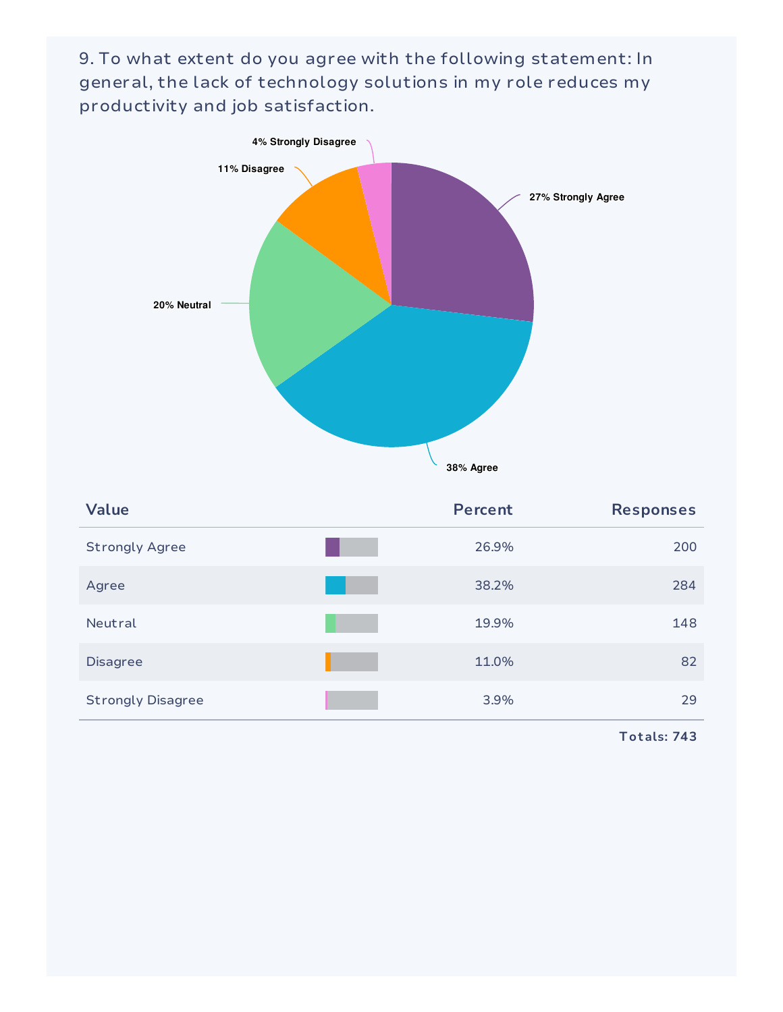9. To what extent do you agree with the following statement: In general, the lack of technology solutions in my role reduces my productivity and job satisfaction.



| <b>Value</b>             | <b>Percent</b> | <b>Responses</b> |
|--------------------------|----------------|------------------|
| <b>Strongly Agree</b>    | 26.9%          | 200              |
| Agree                    | 38.2%          | 284              |
| Neutral                  | 19.9%          | 148              |
| <b>Disagree</b>          | 11.0%          | 82               |
| <b>Strongly Disagree</b> | 3.9%           | 29               |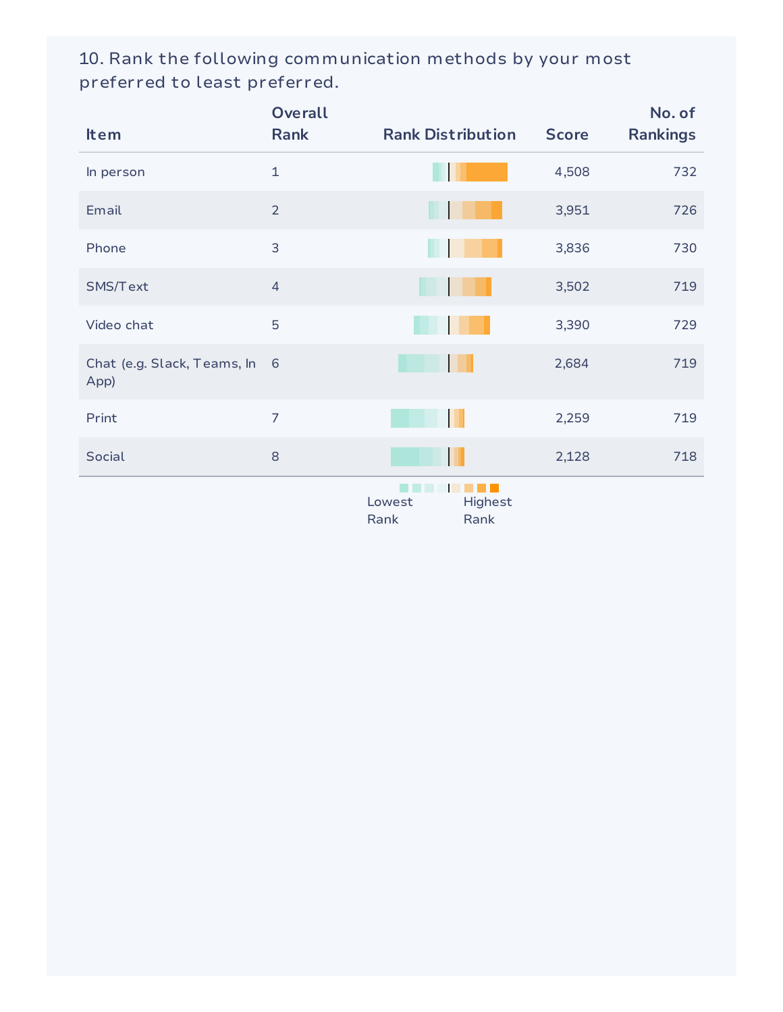10. Rank the following communication methods by your most preferred to least preferred.

| <b>Item</b>                           | <b>Overall</b><br><b>Rank</b> | <b>Rank Distribution</b>          | <b>Score</b> | No. of<br><b>Rankings</b> |
|---------------------------------------|-------------------------------|-----------------------------------|--------------|---------------------------|
| In person                             | $\mathbf{1}$                  |                                   | 4,508        | 732                       |
| Email                                 | $\overline{2}$                |                                   | 3,951        | 726                       |
| Phone                                 | 3                             |                                   | 3,836        | 730                       |
| SMS/Text                              | $\overline{4}$                |                                   | 3,502        | 719                       |
| Video chat                            | 5                             |                                   | 3,390        | 729                       |
| Chat (e.g. Slack, Teams, In 6<br>App) |                               |                                   | 2,684        | 719                       |
| Print                                 | $\overline{7}$                |                                   | 2,259        | 719                       |
| Social                                | 8                             |                                   | 2,128        | 718                       |
|                                       |                               | Highest<br>Lowest<br>Rank<br>Rank |              |                           |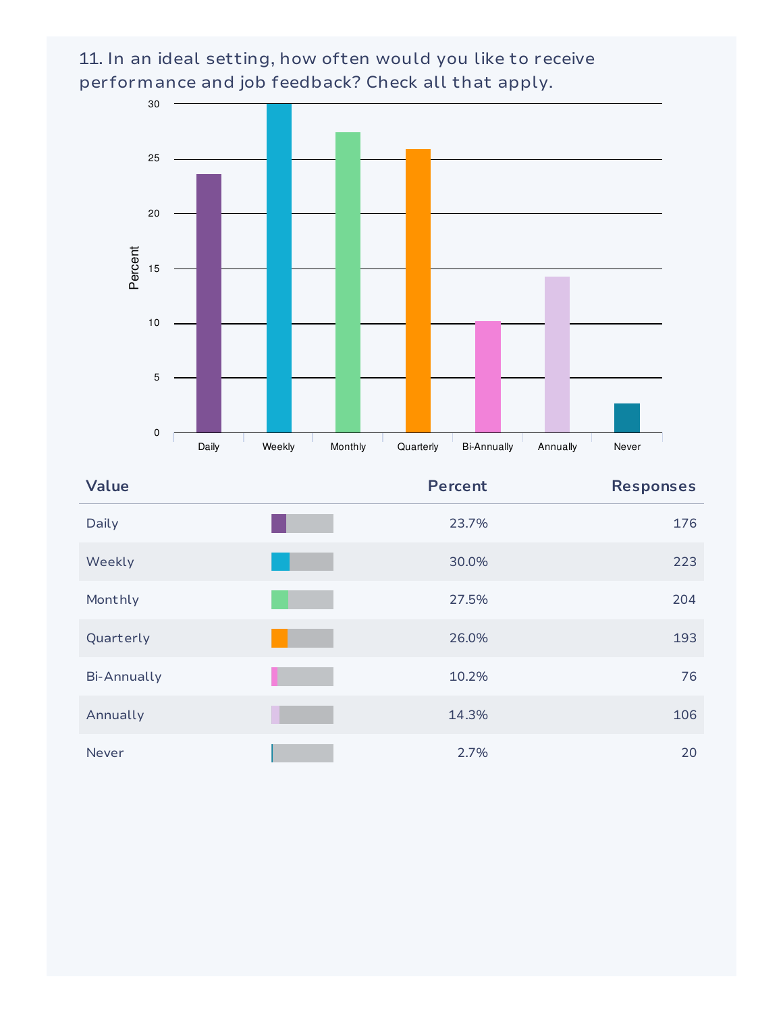11. In an ideal setting, how often would you like to receive performance and job feedback? Check all that apply.



| Value              | <b>Percent</b> | <b>Responses</b> |
|--------------------|----------------|------------------|
| Daily              | 23.7%          | 176              |
| Weekly             | 30.0%          | 223              |
| Monthly            | 27.5%          | 204              |
| Quarterly          | 26.0%          | 193              |
| <b>Bi-Annually</b> | 10.2%          | 76               |
| Annually           | 14.3%          | 106              |
| Never              | 2.7%           | 20               |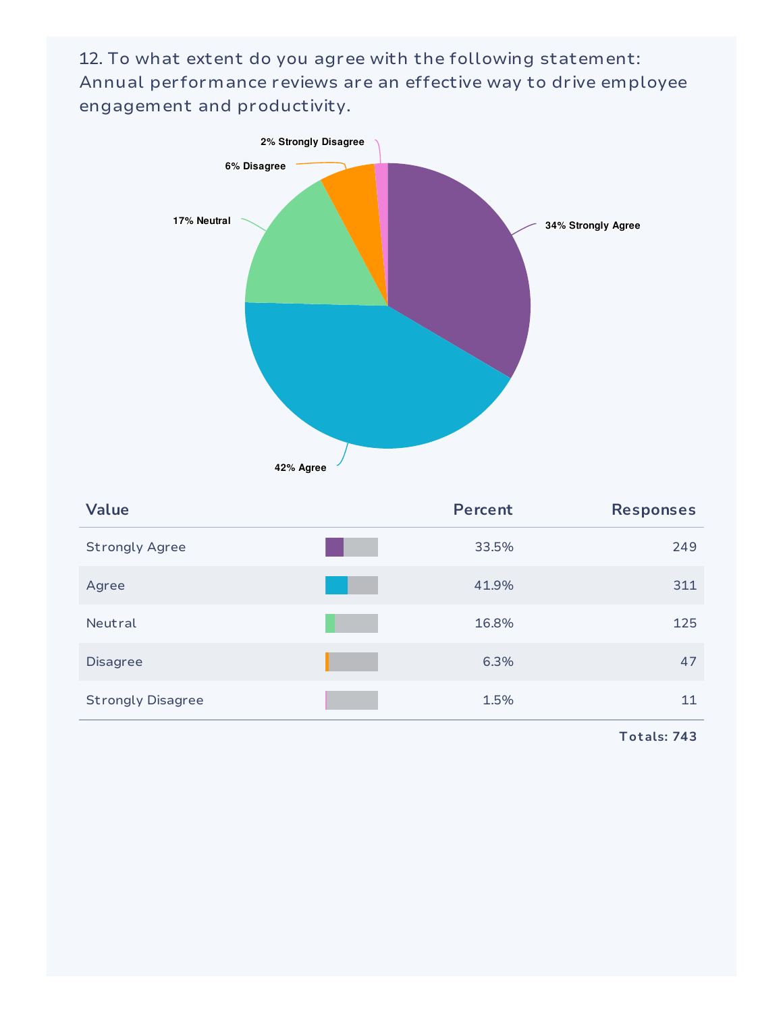12. To what extent do you agree with the following statement: Annual performance reviews are an effective way to drive employee engagement and productivity.



| <b>Value</b>             | <b>Percent</b> | <b>Responses</b> |
|--------------------------|----------------|------------------|
| <b>Strongly Agree</b>    | 33.5%          | 249              |
| Agree                    | 41.9%          | 311              |
| Neutral                  | 16.8%          | 125              |
| <b>Disagree</b>          | 6.3%           | 47               |
| <b>Strongly Disagree</b> | 1.5%           | 11               |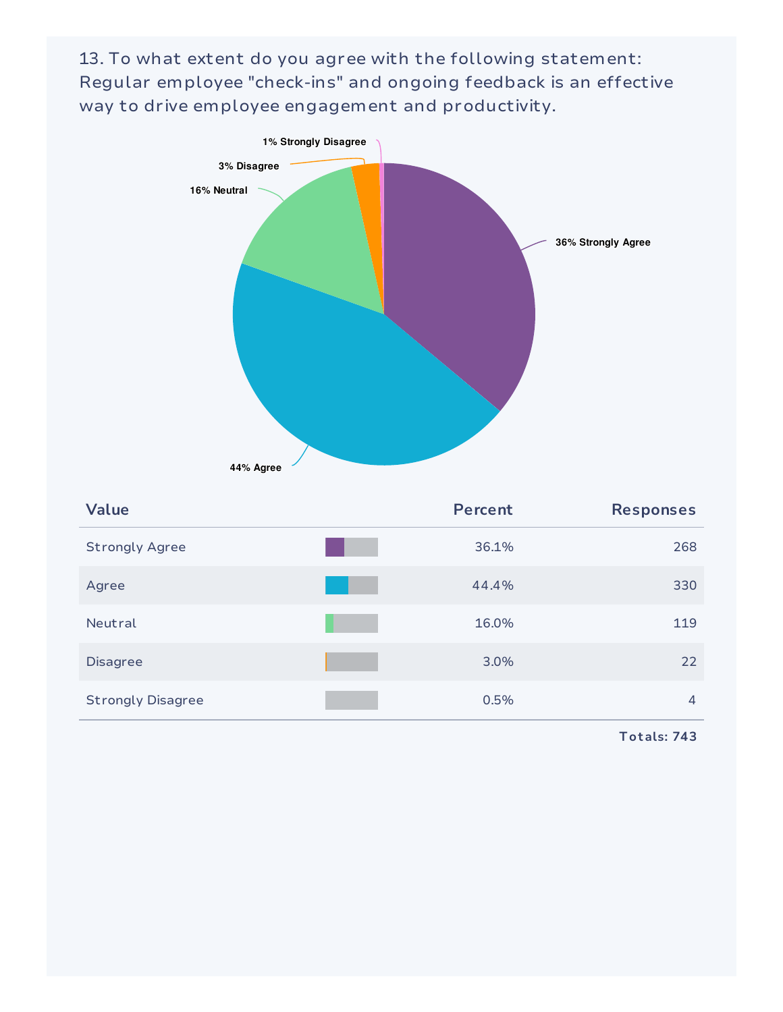13. To what extent do you agree with the following statement: Regular employee "check-ins" and ongoing feedback is an effective way to drive employee engagement and productivity.



| <b>Value</b>             | <b>Percent</b> | <b>Responses</b> |
|--------------------------|----------------|------------------|
| <b>Strongly Agree</b>    | 36.1%          | 268              |
| Agree                    | 44.4%          | 330              |
| Neutral                  | 16.0%          | 119              |
| <b>Disagree</b>          | 3.0%           | 22               |
| <b>Strongly Disagree</b> | 0.5%           | $\overline{4}$   |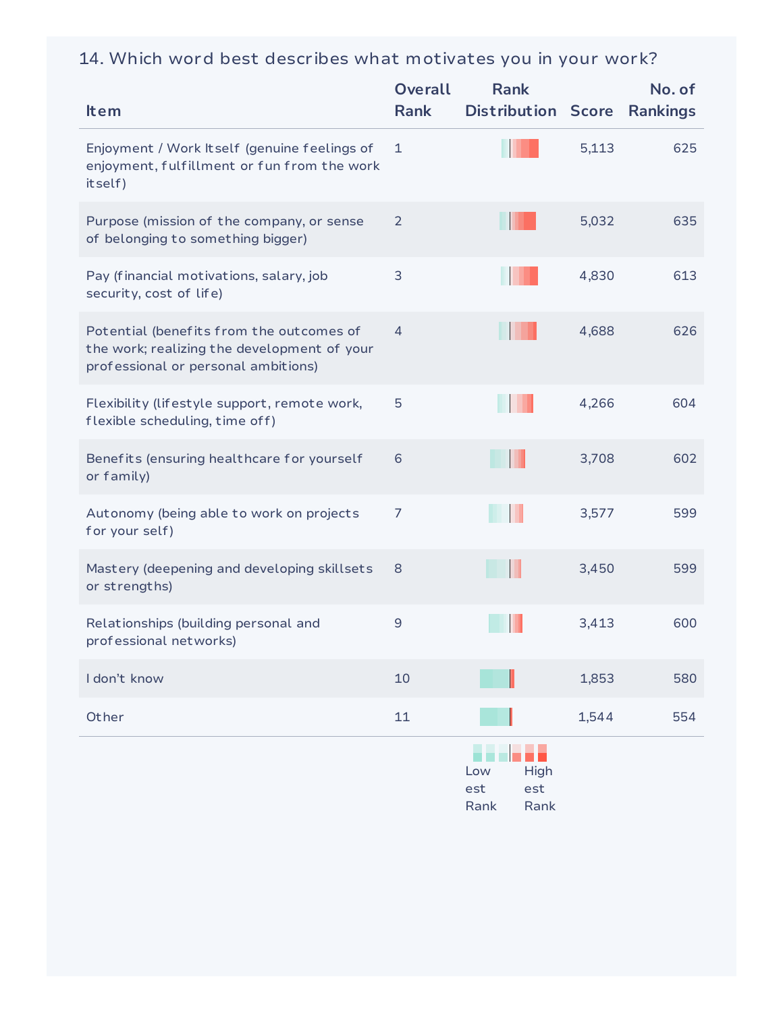### 14. Which word best describes what motivates you in your work?

| <b>Item</b>                                                                                                                    | <b>Overall</b><br><b>Rank</b> | <b>Rank</b><br><b>Distribution Score</b>  |       | No. of<br><b>Rankings</b> |
|--------------------------------------------------------------------------------------------------------------------------------|-------------------------------|-------------------------------------------|-------|---------------------------|
| Enjoyment / Work Itself (genuine feelings of<br>enjoyment, fulfillment or fun from the work<br>itself)                         | $\mathbf{1}$                  |                                           | 5,113 | 625                       |
| Purpose (mission of the company, or sense<br>of belonging to something bigger)                                                 | 2                             |                                           | 5,032 | 635                       |
| Pay (financial motivations, salary, job<br>security, cost of life)                                                             | 3                             |                                           | 4,830 | 613                       |
| Potential (benefits from the outcomes of<br>the work; realizing the development of your<br>professional or personal ambitions) | 4                             |                                           | 4,688 | 626                       |
| Flexibility (lifestyle support, remote work,<br>flexible scheduling, time off)                                                 | 5                             |                                           | 4,266 | 604                       |
| Benefits (ensuring healthcare for yourself<br>or family)                                                                       | 6                             |                                           | 3,708 | 602                       |
| Autonomy (being able to work on projects<br>for your self)                                                                     | 7                             |                                           | 3,577 | 599                       |
| Mastery (deepening and developing skillsets<br>or strengths)                                                                   | 8                             | Ш                                         | 3,450 | 599                       |
| Relationships (building personal and<br>professional networks)                                                                 | 9                             |                                           | 3,413 | 600                       |
| I don't know                                                                                                                   | 10                            |                                           | 1,853 | 580                       |
| Other                                                                                                                          | 11                            |                                           | 1,544 | 554                       |
|                                                                                                                                |                               | High<br>Low<br>est<br>est<br>Rank<br>Rank |       |                           |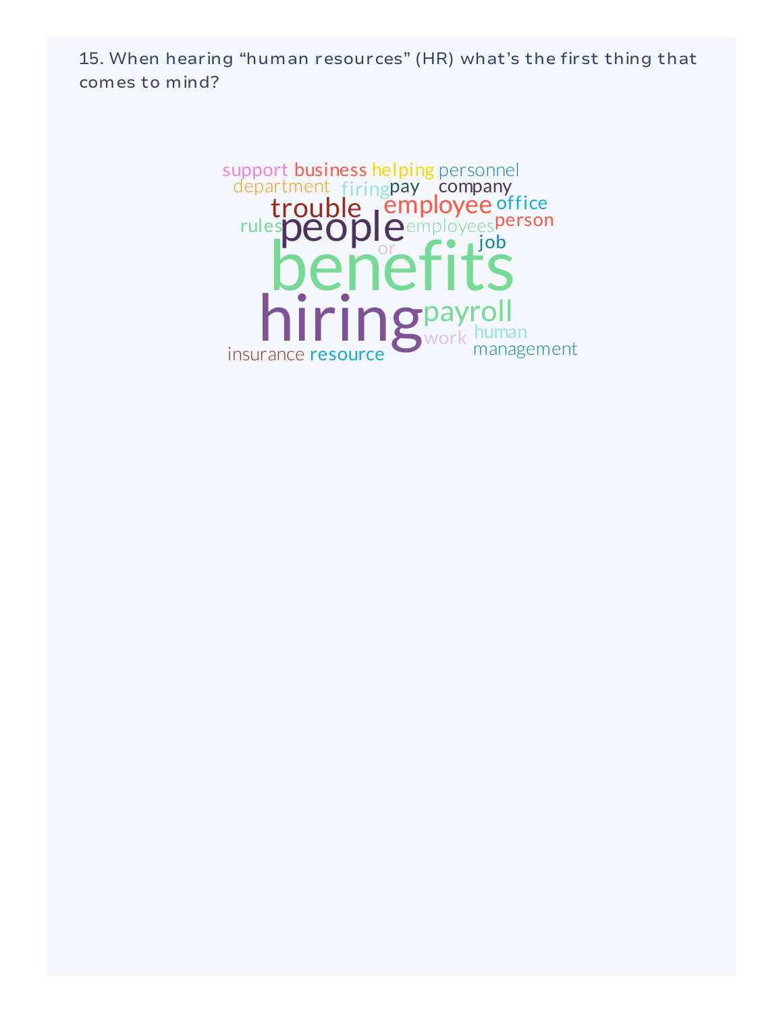15. When hearing "human resources" (HR) what's the first thing that comes to mind?

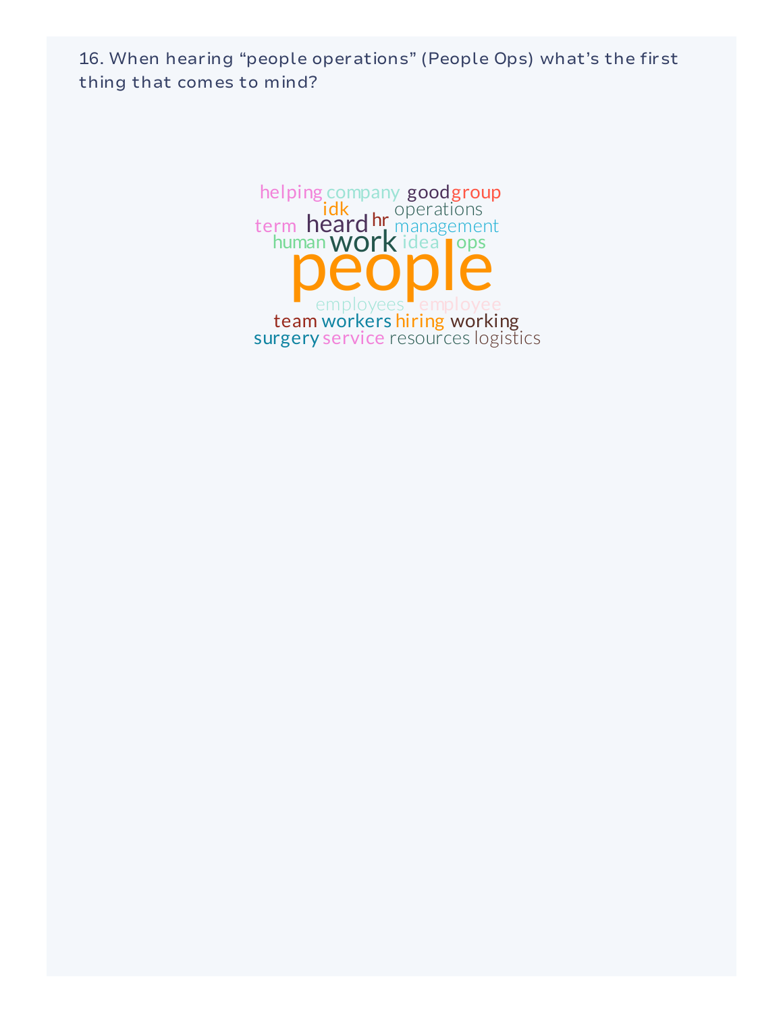16. When hearing "people operations" (People Ops) what's the first thing that comes to mind?

> human WOrk idea heard hr management employees employee  $idk$ , operations team workers hiring working helping company goodgroup surgery service resources logistics term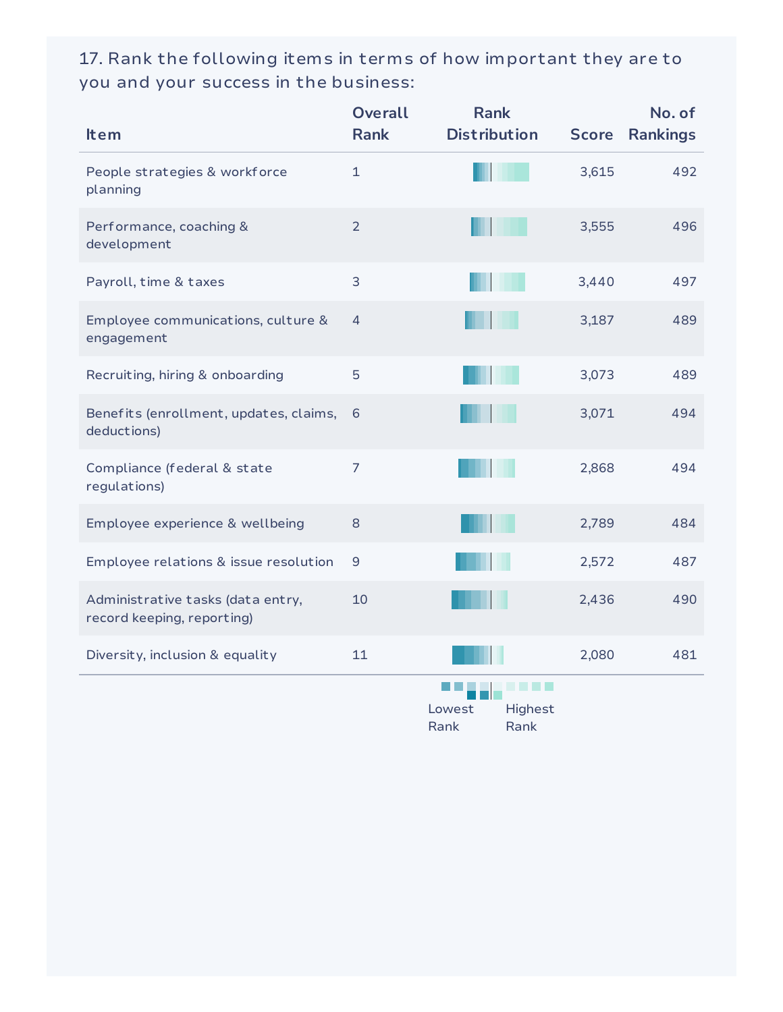17. Rank the following items in terms of how important they are to you and your success in the business:

| <b>Item</b>                                                     | <b>Overall</b><br><b>Rank</b> | <b>Rank</b><br><b>Distribution</b> | <b>Score</b> | No. of<br><b>Rankings</b> |
|-----------------------------------------------------------------|-------------------------------|------------------------------------|--------------|---------------------------|
| People strategies & workforce<br>planning                       | $\mathbf{1}$                  |                                    | 3,615        | 492                       |
| Performance, coaching &<br>development                          | $\overline{2}$                |                                    | 3,555        | 496                       |
| Payroll, time & taxes                                           | 3                             |                                    | 3,440        | 497                       |
| Employee communications, culture &<br>engagement                | 4                             |                                    | 3,187        | 489                       |
| Recruiting, hiring & onboarding                                 | 5                             |                                    | 3,073        | 489                       |
| Benefits (enrollment, updates, claims,<br>deductions)           | 6                             |                                    | 3,071        | 494                       |
| Compliance (federal & state<br>regulations)                     | $\overline{7}$                |                                    | 2,868        | 494                       |
| Employee experience & wellbeing                                 | 8                             |                                    | 2,789        | 484                       |
| Employee relations & issue resolution                           | $\mathsf 9$                   |                                    | 2,572        | 487                       |
| Administrative tasks (data entry,<br>record keeping, reporting) | 10                            |                                    | 2,436        | 490                       |
| Diversity, inclusion & equality                                 | 11                            |                                    | 2,080        | 481                       |
|                                                                 |                               | .<br>Lowest<br>Highest             |              |                           |

Rank Rank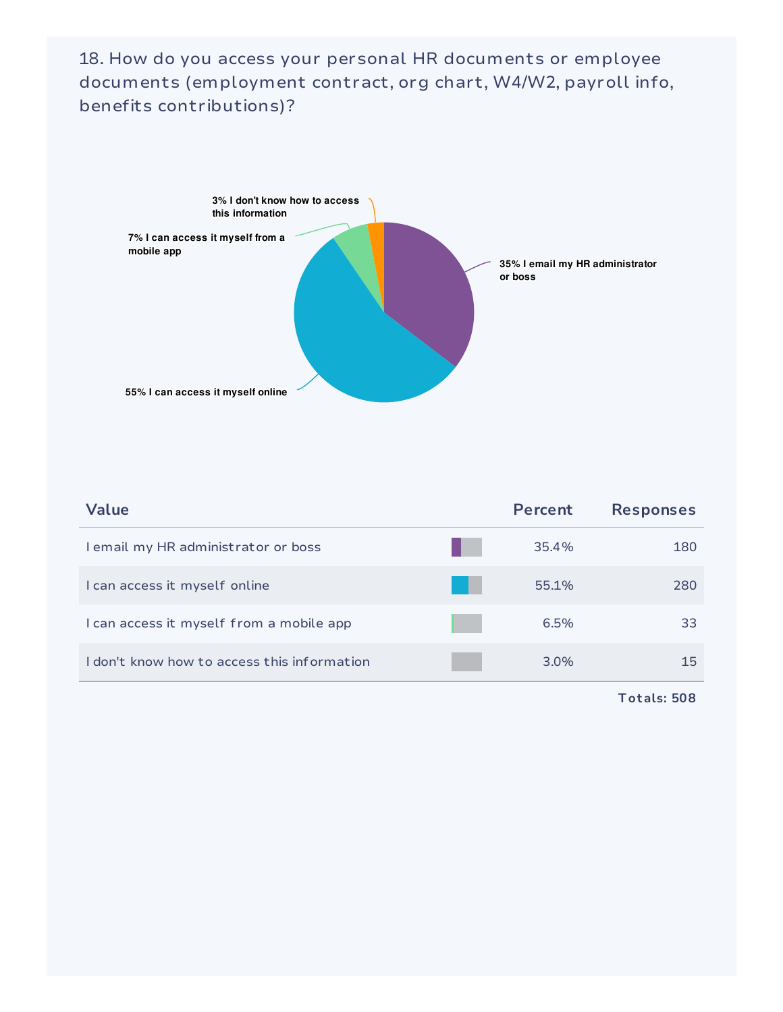18. How do you access your personal HR documents or employee documents (employment contract, org chart, W4/W2, payroll info, benefits contributions)?



| Value                                       | Percent | <b>Responses</b> |
|---------------------------------------------|---------|------------------|
| I email my HR administrator or boss         | 35.4%   | 180              |
| I can access it myself online               | 55.1%   | 280              |
| I can access it myself from a mobile app    | 6.5%    | 33               |
| I don't know how to access this information | $3.0\%$ | 15.              |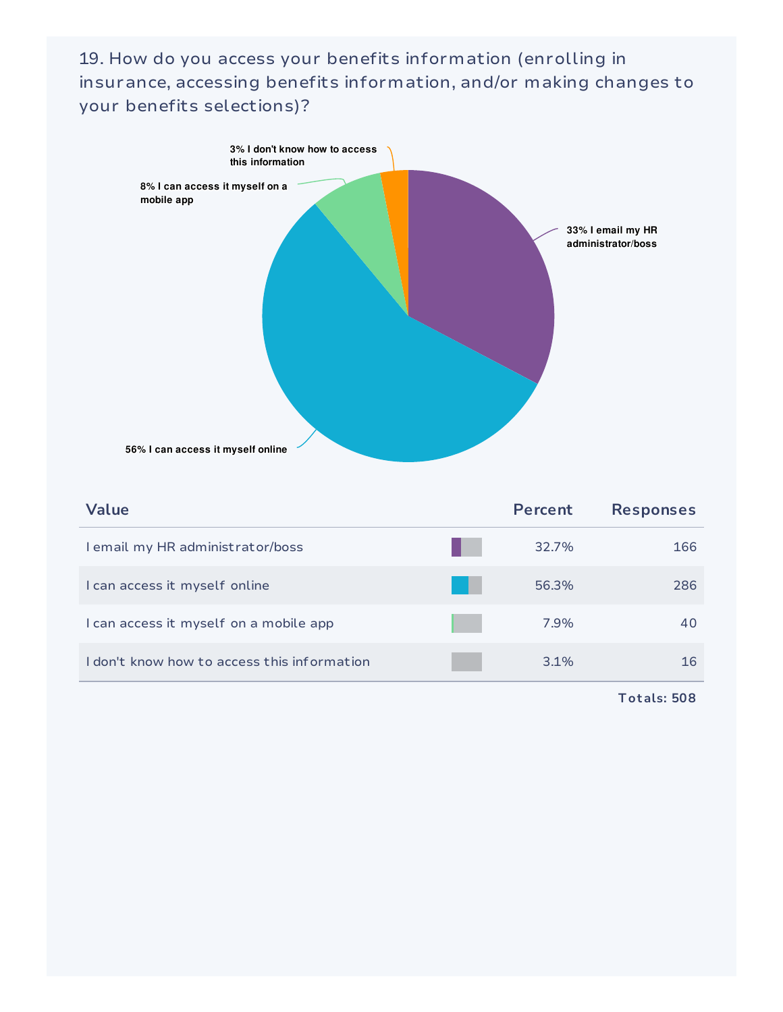19. How do you access your benefits information (enrolling in insurance, accessing benefits information, and/or making changes to your benefits selections)?



| Value                                       | Percent | <b>Responses</b> |
|---------------------------------------------|---------|------------------|
| I email my HR administrator/boss            | 32.7%   | 166              |
| I can access it myself online               | 56.3%   | 286              |
| I can access it myself on a mobile app      | 7.9%    | 40               |
| I don't know how to access this information | 3.1%    | 16               |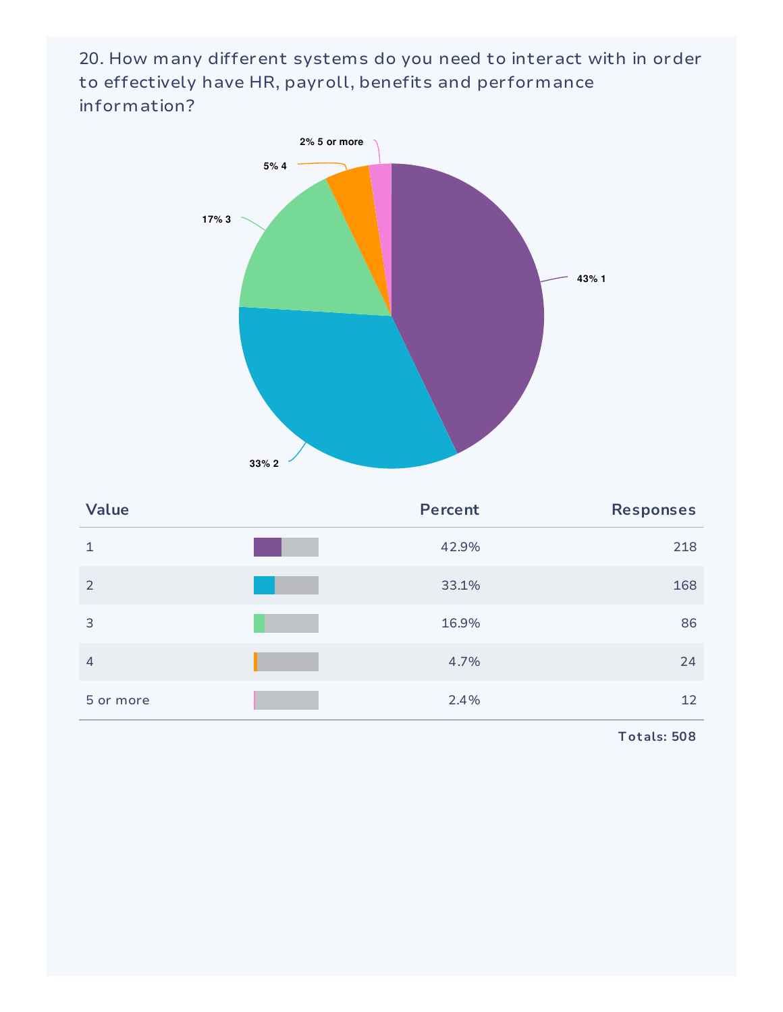20. How many different systems do you need to interact with in order to effectively have HR, payroll, benefits and performance information?



| Value          | <b>Percent</b> | <b>Responses</b> |
|----------------|----------------|------------------|
| 1              | 42.9%          | 218              |
| 2              | 33.1%          | 168              |
| 3              | 16.9%          | 86               |
| $\overline{4}$ | 4.7%           | 24               |
| 5 or more      | 2.4%           | 12               |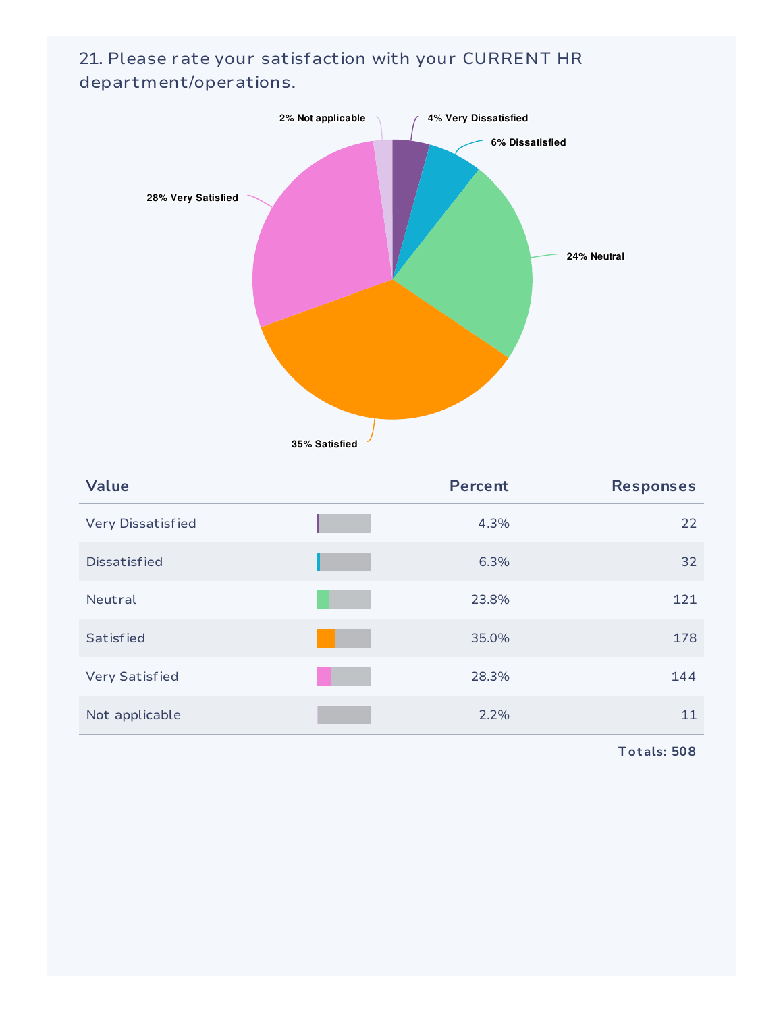

21. Please rate your satisfaction with your CURRENT HR department/operations.

**35% Satisfied**

| Value                    | <b>Percent</b> | <b>Responses</b> |
|--------------------------|----------------|------------------|
| <b>Very Dissatisfied</b> | 4.3%           | 22               |
| <b>Dissatisfied</b>      | 6.3%           | 32               |
| Neutral                  | 23.8%          | 121              |
| <b>Satisfied</b>         | 35.0%          | 178              |
| <b>Very Satisfied</b>    | 28.3%          | 144              |
| Not applicable           | 2.2%           | 11               |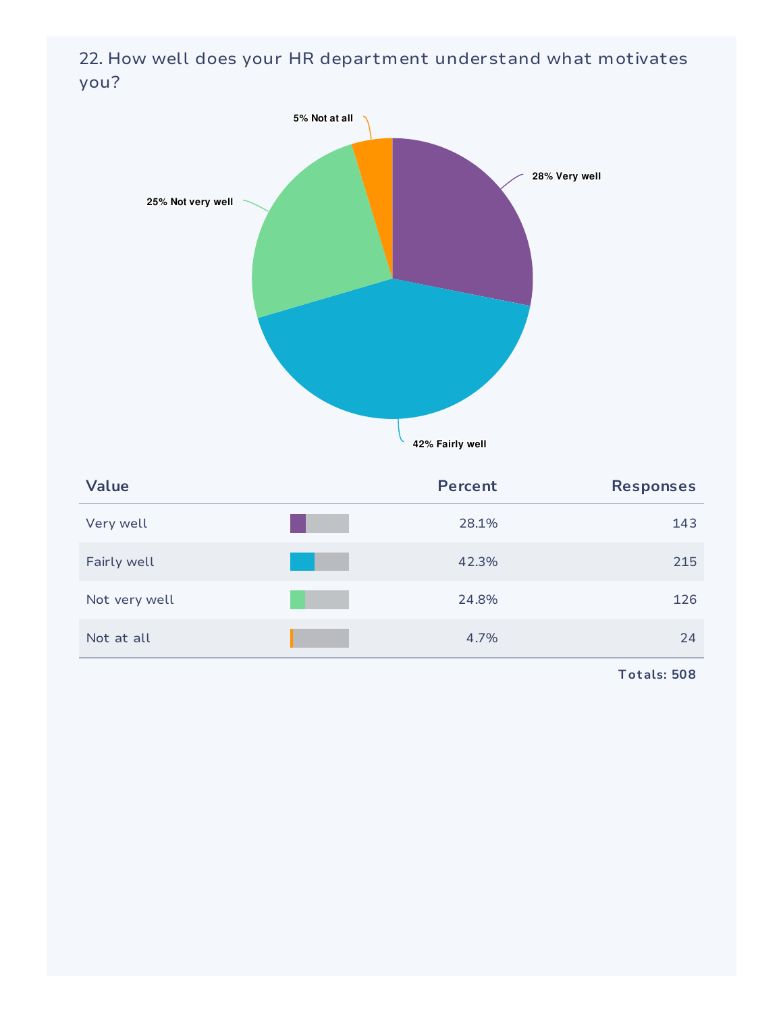22. How well does your HR department understand what motivates you?



| <b>Value</b>  | <b>Percent</b> | <b>Responses</b> |
|---------------|----------------|------------------|
| Very well     | 28.1%          | 143              |
| Fairly well   | 42.3%          | 215              |
| Not very well | 24.8%          | 126              |
| Not at all    | 4.7%           | 24               |